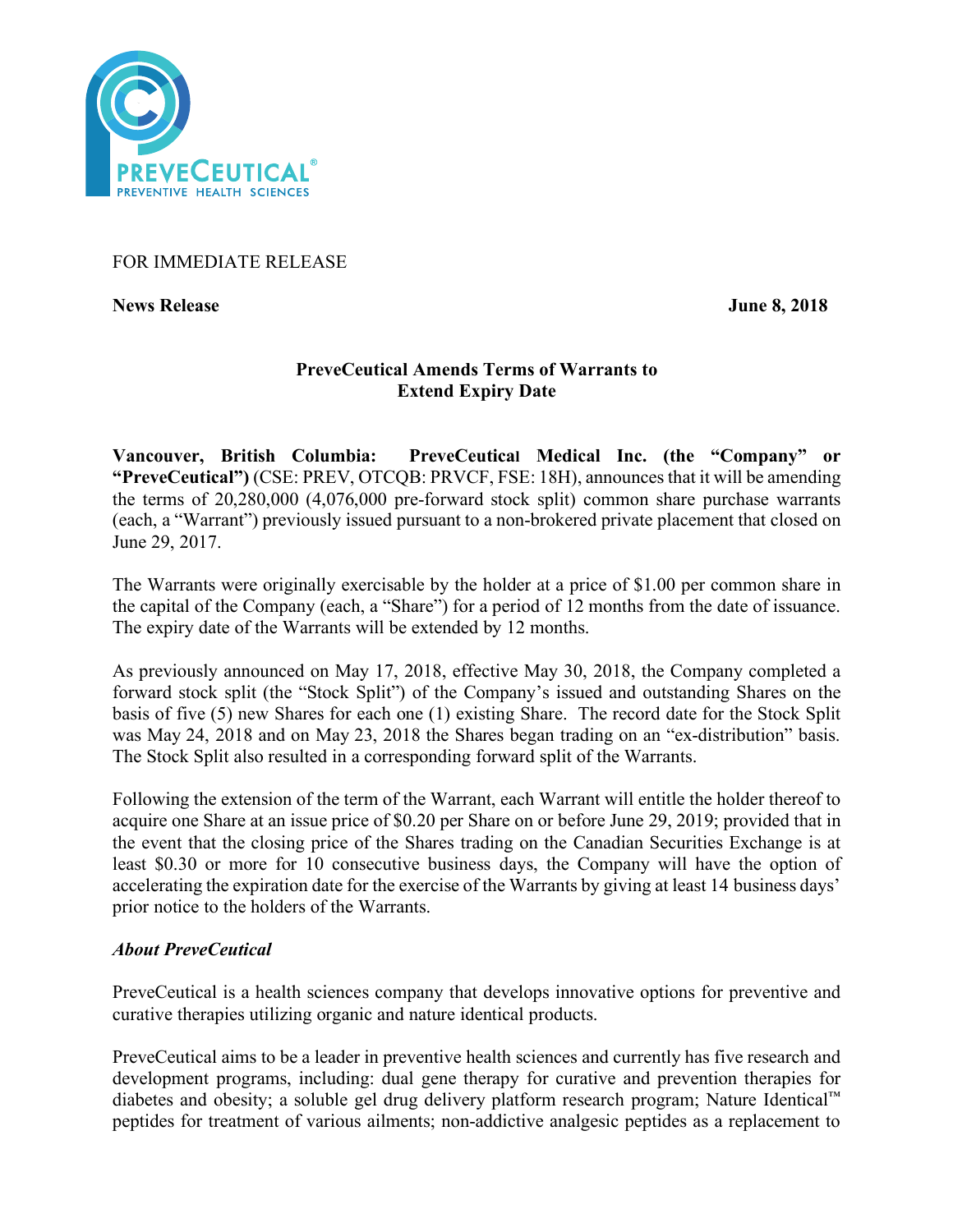

## FOR IMMEDIATE RELEASE

**News Release June 8, 2018**

# **PreveCeutical Amends Terms of Warrants to Extend Expiry Date**

**Vancouver, British Columbia: PreveCeutical Medical Inc. (the "Company" or "PreveCeutical")** (CSE: PREV, OTCQB: PRVCF, FSE: 18H), announces that it will be amending the terms of 20,280,000 (4,076,000 pre-forward stock split) common share purchase warrants (each, a "Warrant") previously issued pursuant to a non-brokered private placement that closed on June 29, 2017.

The Warrants were originally exercisable by the holder at a price of \$1.00 per common share in the capital of the Company (each, a "Share") for a period of 12 months from the date of issuance. The expiry date of the Warrants will be extended by 12 months.

As previously announced on May 17, 2018, effective May 30, 2018, the Company completed a forward stock split (the "Stock Split") of the Company's issued and outstanding Shares on the basis of five (5) new Shares for each one (1) existing Share. The record date for the Stock Split was May 24, 2018 and on May 23, 2018 the Shares began trading on an "ex-distribution" basis. The Stock Split also resulted in a corresponding forward split of the Warrants.

Following the extension of the term of the Warrant, each Warrant will entitle the holder thereof to acquire one Share at an issue price of \$0.20 per Share on or before June 29, 2019; provided that in the event that the closing price of the Shares trading on the Canadian Securities Exchange is at least \$0.30 or more for 10 consecutive business days, the Company will have the option of accelerating the expiration date for the exercise of the Warrants by giving at least 14 business days' prior notice to the holders of the Warrants.

# *About PreveCeutical*

PreveCeutical is a health sciences company that develops innovative options for preventive and curative therapies utilizing organic and nature identical products.

PreveCeutical aims to be a leader in preventive health sciences and currently has five research and development programs, including: dual gene therapy for curative and prevention therapies for diabetes and obesity; a soluble gel drug delivery platform research program; Nature Identical™ peptides for treatment of various ailments; non-addictive analgesic peptides as a replacement to